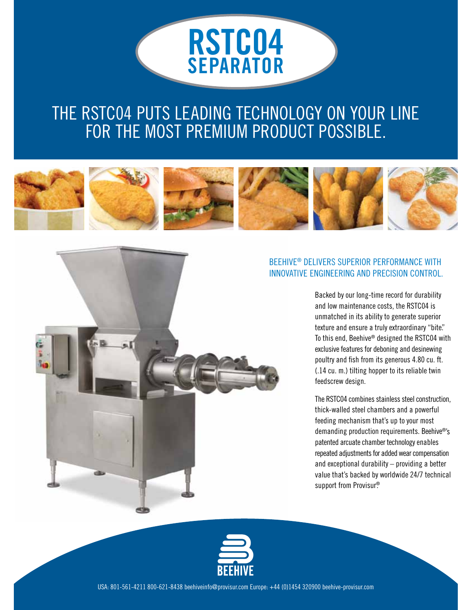# THE RSTC04 PUTS LEADING TECHNOLOGY ON YOUR LINE FOR THE MOST PREMIUM PRODUCT POSSIBLE.

**RSTC04**

**SEPARATOR**





#### BEEHIVE® DELIVERS SUPERIOR PERFORMANCE WITH INNOVATIVE ENGINEERING AND PRECISION CONTROL.

Backed by our long-time record for durability and low maintenance costs, the RSTC04 is unmatched in its ability to generate superior texture and ensure a truly extraordinary "bite." To this end, Beehive® designed the RSTC04 with exclusive features for deboning and desinewing poultry and fish from its generous 4.80 cu. ft. (.14 cu. m.) tilting hopper to its reliable twin feedscrew design.

The RSTC04 combines stainless steel construction, thick-walled steel chambers and a powerful feeding mechanism that's up to your most demanding production requirements. Beehive®'s patented arcuate chamber technology enables repeated adjustments for added wear compensation and exceptional durability – providing a better value that's backed by worldwide 24/7 technical support from Provisur®